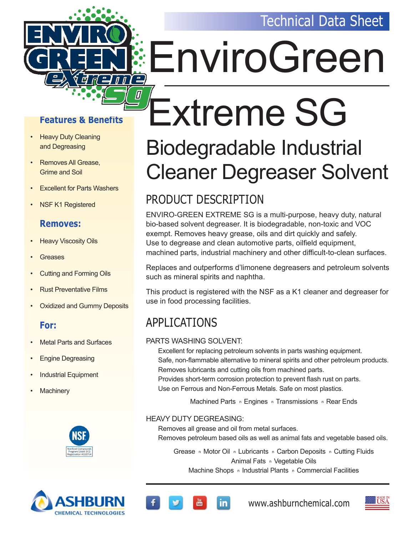

#### **Features & Benefits**

- Heavy Duty Cleaning and Degreasing
- Removes All Grease, Grime and Soil
- **Excellent for Parts Washers**
- NSF K1 Registered

#### **Removes:**

- **Heavy Viscosity Oils**
- **Greases**
- Cutting and Forming Oils
- Rust Preventative Films
- Oxidized and Gummy Deposits

#### **For:**

- Metal Parts and Surfaces
- Engine Degreasing
- Industrial Equipment
- **Machinery**





# EnviroGreen

# Extreme SG

## Biodegradable Industrial Cleaner Degreaser Solvent

## PRODUCT DESCRIPTION

ENVIRO-GREEN EXTREME SG is a multi-purpose, heavy duty, natural bio-based solvent degreaser. It is biodegradable, non-toxic and VOC exempt. Removes heavy grease, oils and dirt quickly and safely. Use to degrease and clean automotive parts, oilfield equipment, machined parts, industrial machinery and other difficult-to-clean surfaces.

Replaces and outperforms d'limonene degreasers and petroleum solvents such as mineral spirits and naphtha.

This product is registered with the NSF as a K1 cleaner and degreaser for use in food processing facilities.

## APPLICATIONS

#### PARTS WASHING SOLVENT:

Excellent for replacing petroleum solvents in parts washing equipment. Safe, non-flammable alternative to mineral spirits and other petroleum products. Removes lubricants and cutting oils from machined parts. Provides short-term corrosion protection to prevent flash rust on parts.

Use on Ferrous and Non-Ferrous Metals. Safe on most plastics.

Machined Parts n Engines n Transmissions n Rear Ends

#### HEAVY DUTY DEGREASING:

in.

Removes all grease and oil from metal surfaces. Removes petroleum based oils as well as animal fats and vegetable based oils.

Grease n Motor Oil n Lubricants n Carbon Deposits n Cutting Fluids Animal Fats n Vegetable Oils Machine Shops n Industrial Plants n Commercial Facilities